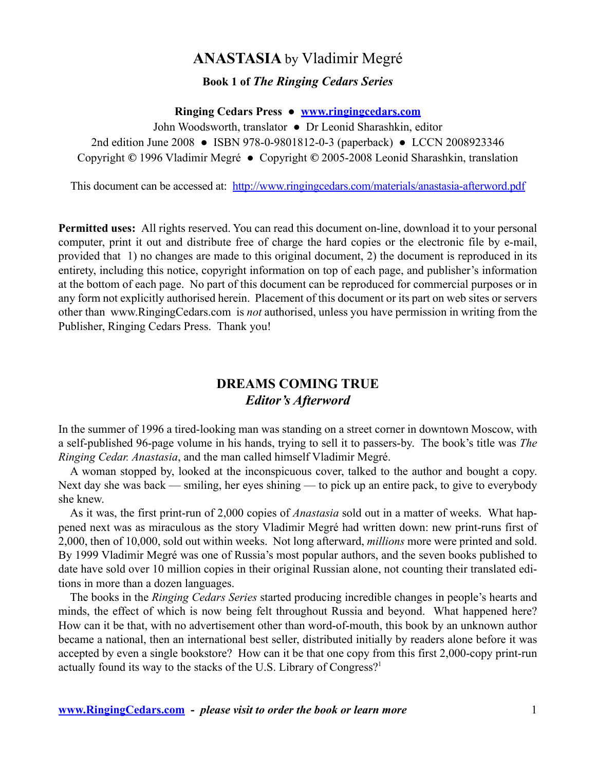# **ANASTASIA** by Vladimir Megré

### **Book 1 of** *The Ringing Cedars Series*

### **Ringing Cedars Press ● www.ringingcedars.com**

John Woodsworth, translator ● Dr Leonid Sharashkin, editor

2nd edition June 2008 ● ISBN 978-0-9801812-0-3 (paperback) ● LCCN 2008923346

Copyright *©* 1996 Vladimir Megré ● Copyright *©* 2005-2008 Leonid Sharashkin, translation

This document can be accessed at: http://www.ringingcedars.com/materials/anastasia-afterword.pdf

**Permitted uses:** All rights reserved. You can read this document on-line, download it to your personal computer, print it out and distribute free of charge the hard copies or the electronic file by e-mail, provided that 1) no changes are made to this original document, 2) the document is reproduced in its entirety, including this notice, copyright information on top of each page, and publisher's information at the bottom of each page. No part of this document can be reproduced for commercial purposes or in any form not explicitly authorised herein. Placement of this document or its part on web sites or servers other than www.RingingCedars.com is *not* authorised, unless you have permission in writing from the Publisher, Ringing Cedars Press. Thank you!

## **DREAMS COMING TRUE** *Editor's Afterword*

In the summer of 1996 a tired-looking man was standing on a street corner in downtown Moscow, with a self-published 96-page volume in his hands, trying to sell it to passers-by. The book's title was *The Ringing Cedar. Anastasia*, and the man called himself Vladimir Megré.

A woman stopped by, looked at the inconspicuous cover, talked to the author and bought a copy. Next day she was back — smiling, her eyes shining — to pick up an entire pack, to give to everybody she knew.

As it was, the first print-run of 2,000 copies of *Anastasia* sold out in a matter of weeks. What happened next was as miraculous as the story Vladimir Megré had written down: new print-runs first of 2,000, then of 10,000, sold out within weeks. Not long afterward, *millions* more were printed and sold. By 1999 Vladimir Megré was one of Russia's most popular authors, and the seven books published to date have sold over 10 million copies in their original Russian alone, not counting their translated editions in more than a dozen languages.

The books in the *Ringing Cedars Series* started producing incredible changes in people's hearts and minds, the effect of which is now being felt throughout Russia and beyond. What happened here? How can it be that, with no advertisement other than word-of-mouth, this book by an unknown author became a national, then an international best seller, distributed initially by readers alone before it was accepted by even a single bookstore? How can it be that one copy from this first 2,000-copy print-run actually found its way to the stacks of the U.S. Library of Congress?<sup>1</sup>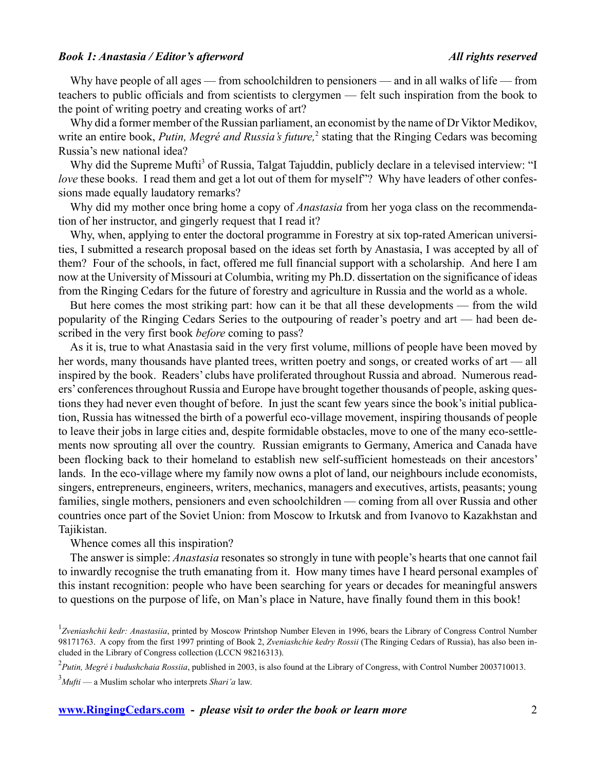Why have people of all ages — from schoolchildren to pensioners — and in all walks of life — from teachers to public officials and from scientists to clergymen — felt such inspiration from the book to the point of writing poetry and creating works of art?

Why did a former member of the Russian parliament, an economist by the name of Dr Viktor Medikov, write an entire book, *Putin, Megré and Russia's future*,<sup>2</sup> stating that the Ringing Cedars was becoming Russia's new national idea?

Why did the Supreme Mufti<sup>3</sup> of Russia, Talgat Tajuddin, publicly declare in a televised interview: "I *love* these books. I read them and get a lot out of them for myself"? Why have leaders of other confessions made equally laudatory remarks?

Why did my mother once bring home a copy of *Anastasia* from her yoga class on the recommendation of her instructor, and gingerly request that I read it?

Why, when, applying to enter the doctoral programme in Forestry at six top-rated American universities, I submitted a research proposal based on the ideas set forth by Anastasia, I was accepted by all of them? Four of the schools, in fact, offered me full financial support with a scholarship. And here I am now at the University of Missouri at Columbia, writing my Ph.D. dissertation on the significance of ideas from the Ringing Cedars for the future of forestry and agriculture in Russia and the world as a whole.

But here comes the most striking part: how can it be that all these developments — from the wild popularity of the Ringing Cedars Series to the outpouring of reader's poetry and art — had been described in the very first book *before* coming to pass?

As it is, true to what Anastasia said in the very first volume, millions of people have been moved by her words, many thousands have planted trees, written poetry and songs, or created works of art — all inspired by the book. Readers' clubs have proliferated throughout Russia and abroad. Numerous readers' conferences throughout Russia and Europe have brought together thousands of people, asking questions they had never even thought of before. In just the scant few years since the book's initial publication, Russia has witnessed the birth of a powerful eco-village movement, inspiring thousands of people to leave their jobs in large cities and, despite formidable obstacles, move to one of the many eco-settlements now sprouting all over the country. Russian emigrants to Germany, America and Canada have been flocking back to their homeland to establish new self-sufficient homesteads on their ancestors' lands. In the eco-village where my family now owns a plot of land, our neighbours include economists, singers, entrepreneurs, engineers, writers, mechanics, managers and executives, artists, peasants; young families, single mothers, pensioners and even schoolchildren — coming from all over Russia and other countries once part of the Soviet Union: from Moscow to Irkutsk and from Ivanovo to Kazakhstan and Tajikistan.

Whence comes all this inspiration?

The answer is simple: *Anastasia* resonates so strongly in tune with people's hearts that one cannot fail to inwardly recognise the truth emanating from it. How many times have I heard personal examples of this instant recognition: people who have been searching for years or decades for meaningful answers to questions on the purpose of life, on Man's place in Nature, have finally found them in this book!

3 *Mufti* — a Muslim scholar who interprets *Shari'a* law.

<sup>&</sup>lt;sup>1</sup>Zveniashchii kedr: Anastasiia, printed by Moscow Printshop Number Eleven in 1996, bears the Library of Congress Control Number 98171763. A copy from the first 1997 printing of Book 2, *Zveniashchie kedry Rossii* (The Ringing Cedars of Russia), has also been included in the Library of Congress collection (LCCN 98216313).

<sup>2</sup> *Putin, Megré i budushchaia Rossiia*, published in 2003, is also found at the Library of Congress, with Control Number 2003710013.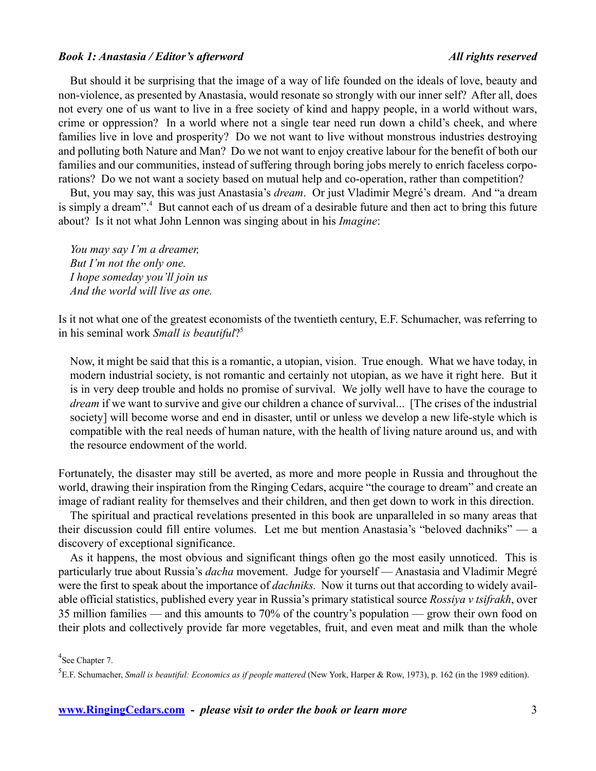But should it be surprising that the image of a way of life founded on the ideals of love, beauty and non-violence, as presented by Anastasia, would resonate so strongly with our inner self? After all, does not every one of us want to live in a free society of kind and happy people, in a world without wars, crime or oppression? In a world where not a single tear need run down a child's cheek, and where families live in love and prosperity? Do we not want to live without monstrous industries destroying and polluting both Nature and Man? Do we not want to enjoy creative labour for the benefit of both our families and our communities, instead of suffering through boring jobs merely to enrich faceless corporations? Do we not want a society based on mutual help and co-operation, rather than competition?

But, you may say, this was just Anastasia's *dream*. Or just Vladimir Megré's dream. And "a dream is simply a dream".<sup>4</sup> But cannot each of us dream of a desirable future and then act to bring this future about? Is it not what John Lennon was singing about in his *Imagine*:

*You may say I'm a dreamer, But I'm not the only one. I hope someday you'll join us And the world will live as one.*

Is it not what one of the greatest economists of the twentieth century, E.F. Schumacher, was referring to in his seminal work *Small is beautiful*?5

Now, it might be said that this is a romantic, a utopian, vision. True enough. What we have today, in modern industrial society, is not romantic and certainly not utopian, as we have it right here. But it is in very deep trouble and holds no promise of survival. We jolly well have to have the courage to *dream* if we want to survive and give our children a chance of survival... [The crises of the industrial society] will become worse and end in disaster, until or unless we develop a new life-style which is compatible with the real needs of human nature, with the health of living nature around us, and with the resource endowment of the world.

Fortunately, the disaster may still be averted, as more and more people in Russia and throughout the world, drawing their inspiration from the Ringing Cedars, acquire "the courage to dream" and create an image of radiant reality for themselves and their children, and then get down to work in this direction.

The spiritual and practical revelations presented in this book are unparalleled in so many areas that their discussion could fill entire volumes. Let me but mention Anastasia's "beloved dachniks" — a discovery of exceptional significance.

As it happens, the most obvious and significant things often go the most easily unnoticed. This is particularly true about Russia's *dacha* movement. Judge for yourself — Anastasia and Vladimir Megré were the first to speak about the importance of *dachniks*. Now it turns out that according to widely available official statistics, published every year in Russia's primary statistical source *Rossiya v tsifrakh*, over 35 million families — and this amounts to 70% of the country's population — grow their own food on their plots and collectively provide far more vegetables, fruit, and even meat and milk than the whole

### <sup>4</sup>See Chapter 7.

5 E.F. Schumacher, *Small is beautiful: Economics as if people mattered* (New York, Harper & Row, 1973), p. 162 (in the 1989 edition).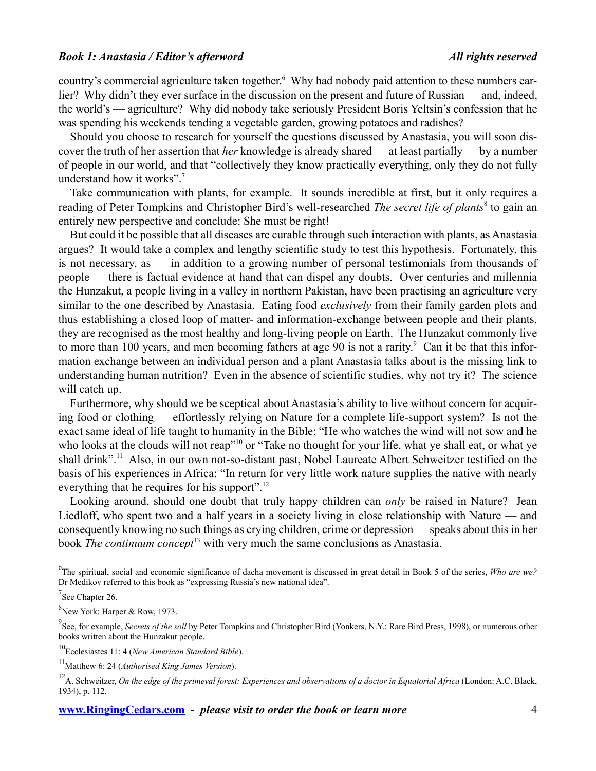country's commercial agriculture taken together.<sup>6</sup> Why had nobody paid attention to these numbers earlier? Why didn't they ever surface in the discussion on the present and future of Russian — and, indeed, the world's — agriculture? Why did nobody take seriously President Boris Yeltsin's confession that he was spending his weekends tending a vegetable garden, growing potatoes and radishes?

Should you choose to research for yourself the questions discussed by Anastasia, you will soon discover the truth of her assertion that *her* knowledge is already shared — at least partially — by a number of people in our world, and that "collectively they know practically everything, only they do not fully understand how it works".<sup>7</sup>

Take communication with plants, for example. It sounds incredible at first, but it only requires a reading of Peter Tompkins and Christopher Bird's well-researched *The secret life of plants*<sup>8</sup> to gain an entirely new perspective and conclude: She must be right!

But could it be possible that all diseases are curable through such interaction with plants, as Anastasia argues? It would take a complex and lengthy scientific study to test this hypothesis. Fortunately, this is not necessary, as — in addition to a growing number of personal testimonials from thousands of people — there is factual evidence at hand that can dispel any doubts. Over centuries and millennia the Hunzakut, a people living in a valley in northern Pakistan, have been practising an agriculture very similar to the one described by Anastasia. Eating food *exclusively* from their family garden plots and thus establishing a closed loop of matter- and information-exchange between people and their plants, they are recognised as the most healthy and long-living people on Earth. The Hunzakut commonly live to more than 100 years, and men becoming fathers at age 90 is not a rarity. $9$  Can it be that this information exchange between an individual person and a plant Anastasia talks about is the missing link to understanding human nutrition? Even in the absence of scientific studies, why not try it? The science will catch up.

Furthermore, why should we be sceptical about Anastasia's ability to live without concern for acquiring food or clothing — effortlessly relying on Nature for a complete life-support system? Is not the exact same ideal of life taught to humanity in the Bible: "He who watches the wind will not sow and he who looks at the clouds will not reap"<sup>10</sup> or "Take no thought for your life, what ye shall eat, or what ye shall drink".<sup>11</sup> Also, in our own not-so-distant past, Nobel Laureate Albert Schweitzer testified on the basis of his experiences in Africa: "In return for very little work nature supplies the native with nearly everything that he requires for his support".<sup>12</sup>

Looking around, should one doubt that truly happy children can *only* be raised in Nature? Jean Liedloff, who spent two and a half years in a society living in close relationship with Nature — and consequently knowing no such things as crying children, crime or depression — speaks about this in her book *The continuum concept*<sup>13</sup> with very much the same conclusions as Anastasia.

6 The spiritual, social and economic significance of dacha movement is discussed in great detail in Book 5 of the series, *Who are we?*  Dr Medikov referred to this book as "expressing Russia's new national idea".

 ${}^{8}$ New York: Harper & Row, 1973.

<sup>9</sup> See, for example, *Secrets of the soil* by Peter Tompkins and Christopher Bird (Yonkers, N.Y.: Rare Bird Press, 1998), or numerous other books written about the Hunzakut people.

10Ecclesiastes 11: 4 (*New American Standard Bible*).

11Matthew 6: 24 (*Authorised King James Version*).

**www.RingingCedars.com -** *please visit to order the book or learn more* 4

 $7$ See Chapter 26.

<sup>&</sup>lt;sup>12</sup>A. Schweitzer, *On the edge of the primeval forest: Experiences and observations of a doctor in Equatorial Africa (London: A.C. Black,* 1934), p. 112.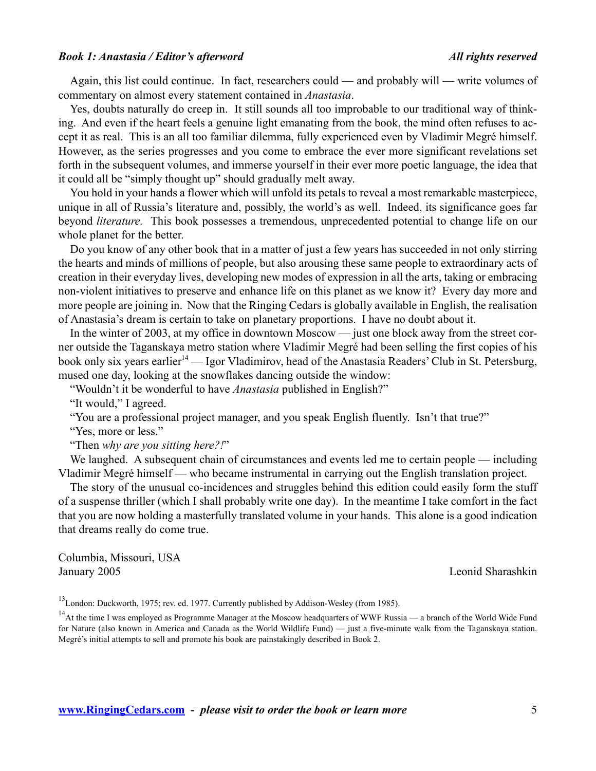Again, this list could continue. In fact, researchers could — and probably will — write volumes of commentary on almost every statement contained in *Anastasia*.

Yes, doubts naturally do creep in. It still sounds all too improbable to our traditional way of thinking. And even if the heart feels a genuine light emanating from the book, the mind often refuses to accept it as real. This is an all too familiar dilemma, fully experienced even by Vladimir Megré himself. However, as the series progresses and you come to embrace the ever more significant revelations set forth in the subsequent volumes, and immerse yourself in their ever more poetic language, the idea that it could all be "simply thought up" should gradually melt away.

You hold in your hands a flower which will unfold its petals to reveal a most remarkable masterpiece, unique in all of Russia's literature and, possibly, the world's as well. Indeed, its significance goes far beyond *literature.* This book possesses a tremendous, unprecedented potential to change life on our whole planet for the better.

Do you know of any other book that in a matter of just a few years has succeeded in not only stirring the hearts and minds of millions of people, but also arousing these same people to extraordinary acts of creation in their everyday lives, developing new modes of expression in all the arts, taking or embracing non-violent initiatives to preserve and enhance life on this planet as we know it? Every day more and more people are joining in. Now that the Ringing Cedars is globally available in English, the realisation of Anastasia's dream is certain to take on planetary proportions. I have no doubt about it.

In the winter of 2003, at my office in downtown Moscow — just one block away from the street corner outside the Taganskaya metro station where Vladimir Megré had been selling the first copies of his book only six years earlier<sup>14</sup> — Igor Vladimirov, head of the Anastasia Readers' Club in St. Petersburg, mused one day, looking at the snowflakes dancing outside the window:

"Wouldn't it be wonderful to have *Anastasia* published in English?"

"It would," I agreed.

"You are a professional project manager, and you speak English fluently. Isn't that true?"

"Yes, more or less."

"Then *why are you sitting here?!*"

We laughed. A subsequent chain of circumstances and events led me to certain people — including Vladimir Megré himself — who became instrumental in carrying out the English translation project.

The story of the unusual co-incidences and struggles behind this edition could easily form the stuff of a suspense thriller (which I shall probably write one day). In the meantime I take comfort in the fact that you are now holding a masterfully translated volume in your hands. This alone is a good indication that dreams really do come true.

Columbia, Missouri, USA January 2005 Leonid Sharashkin

<sup>13</sup>London: Duckworth, 1975; rev. ed. 1977. Currently published by Addison-Wesley (from 1985).

<sup>&</sup>lt;sup>14</sup>At the time I was employed as Programme Manager at the Moscow headquarters of WWF Russia — a branch of the World Wide Fund for Nature (also known in America and Canada as the World Wildlife Fund) — just a five-minute walk from the Taganskaya station. Megré's initial attempts to sell and promote his book are painstakingly described in Book 2.